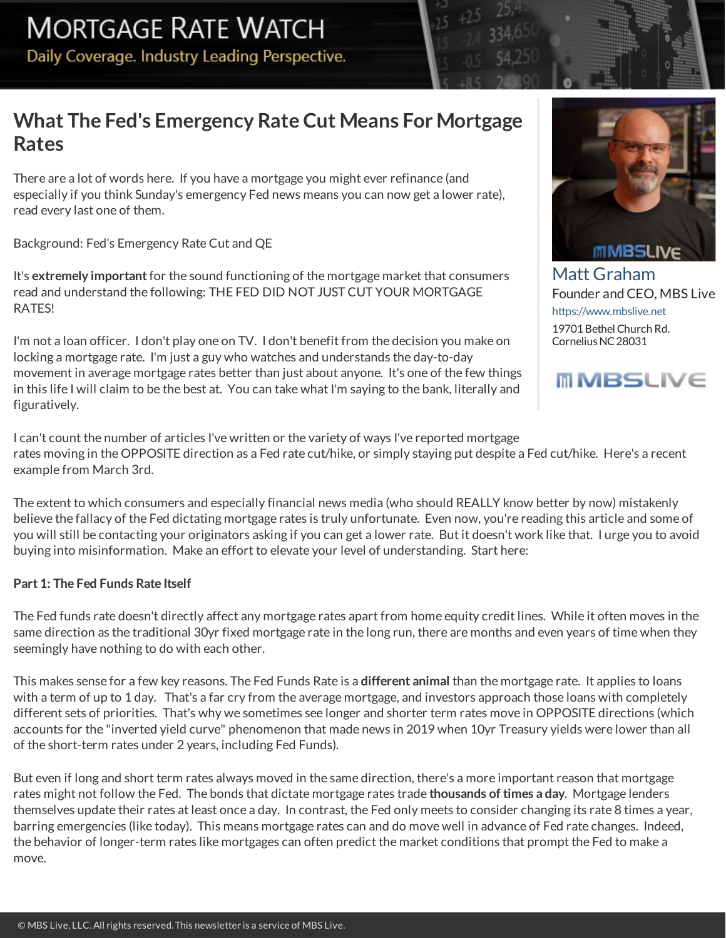# **What The Fed's Emergency Rate Cut Means ForMortgage Rates**

There are a lot of words here. If you have amortgage you might ever refinance (and especially if you think Sunday's emergency Fed news means you can now get a lower rate), read every last one of them.

Background: Fed's Emergency Rate Cut and QE

It's **extremely important**for the sound functioning of themortgagemarket thatconsumers read and understand the following: THE FED DID NOT JUST CUT YOUR MORTGAGE RATES!

I'm not a loan officer. I don't play one on TV. I don't benefit from the decision you make on locking a mortgage rate. I'm just a guy who watches and understands the day-to-day movement in averagemortgage rates better than just about anyone. It's one of the few things in thislife Iwill claim to be the best at. You can takewhat I'm saying to the bank, literally and figuratively.

I can't count the number of articles I've written or the variety of ways I've reported mortgage rates moving in theOPPOSITE direction as a Fed rate cut/hike, or simply staying put despite a Fed cut/hike. Here's a recent example from March 3rd.

The extent to which consumers and especially financial news media (who should REALLY know better by now) mistakenly believe the fallacy of the Fed dictating mortgage rates is truly unfortunate. Even now, you're reading this article and some of you will still be contacting your originators asking if you can get a lower rate. But it doesn't work like that. I urge you to avoid buying into misinformation. Make an effort to elevate your level of understanding. Start here:

## **Part 1: The Fed Funds Rate Itself**

The Fed funds rate doesn't directly affect any mortgage rates apart from home equity credit lines. While it often moves in the same direction as the traditional 30yr fixed mortgage rate in the long run, there are months and even years of time when they seemingly have nothing to do with each other.

This makessense for a few key reasons. The Fed Funds Rate is a **different animal** than themortgage rate. It appliesto loans with a term of up to 1 day. That's a far cry from the average mortgage, and investors approach those loans with completely different sets of priorities. That's why we sometimes see longer and shorter term rates move in OPPOSITE directions (which accounts for the "inverted yield curve" phenomenon that made news in 2019 when 10yr Treasury yields were lower than all of the short-term rates under 2 years, including Fed Funds).

But even if long and short term rates always moved in the same direction, there's a more important reason that mortgage rates might not follow the Fed. The bonds that dictate mortgage rates trade thousands of times a day. Mortgage lenders themselves update their rates at least once a day. In contrast, the Fed only meets to consider changing its rate 8 times a year, barring emergencies(like today). This means mortgage ratescan and do movewell in advance of Fed rate changes. Indeed, the behavior of longer-term rates like mortgages can often predict the market conditions that prompt the Fed to make a move.



Matt Graham Founder and CEO, MBS Live <https://www.mbslive.net> 19701 Bethel Church Rd. CorneliusNC28031

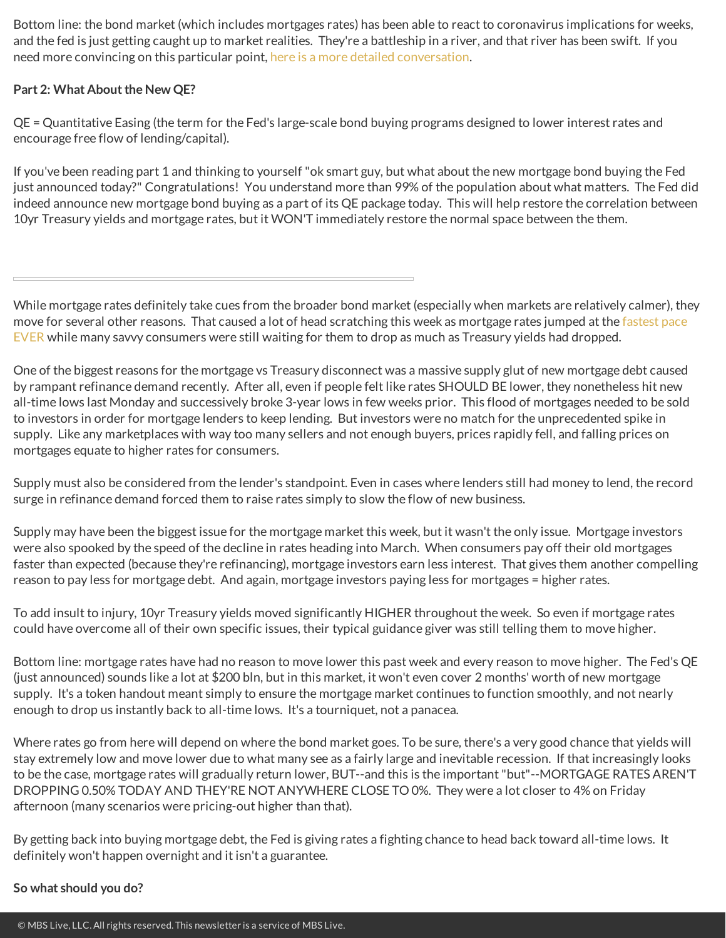Bottom line: the bond market (which includes mortgages rates) has been able to react to coronavirus implications for weeks, and the fed is just getting caught up to market realities. They're a battleship in a river, and that river has been swift. If you need more convincing on this particular point, here is a more detailed [conversation](http://housingnewsletters.com/mgraham/article/5e5e952936cb2817a8aaae61).

### **Part 2: What About the New QE?**

QE = Quantitative Easing (the term for the Fed'slarge-scale bond buying programs designed to lower interestrates and encourage free flow of lending/capital).

If you've been reading part 1 and thinking to yourself "ok smart guy, but what about the new mortgage bond buying the Fed just announced today?" Congratulations! You understand more than 99% of the population about what matters. The Fed did indeed announce new mortgage bond buying as a part of its QE package today. This will help restore the correlation between 10yr Treasury yields and mortgage rates, but it WON'T immediately restore the normal space between the them.

While mortgage rates definitely take cues from the broader bond market (especially when markets are relatively calmer), they move for several other reasons. That caused a lot of head scratching this week as mortgage rates jumped at the fastest pace EVER while many savvy consumers were still waiting for them to drop as much as Treasury yields had dropped.

One of the biggest reasons for the mortgage vs Treasury disconnect was a massive supply glut of new mortgage debt caused by rampant refinance demand recently. After all, even if people felt like rates SHOULD BE lower, they nonetheless hit new all-time lows last Monday and successively broke 3-year lows in few weeks prior. This flood of mortgages needed to be sold to investors in order for mortgage lenders to keep lending. But investors were no match for the unprecedented spike in supply. Like any marketplaces with way too many sellers and not enough buyers, prices rapidly fell, and falling prices on mortgages equate to higher rates for consumers.

Supply must also be considered from the lender's standpoint. Even in cases where lenders still had money to lend, the record surge in refinance demand forced them to raise rates simply to slow the flow of new business.

Supplymay have been the biggest issue for themortgagemarket this week, but it wasn't the only issue. Mortgage investors were also spooked by the speed of the decline in rates heading into March. When consumers pay off their old mortgages faster than expected (because they're refinancing), mortgage investors earn less interest. That gives them another compelling reason to pay lessfor mortgage debt. And again, mortgage investors paying lessfor mortgages = higher rates.

To add insult to injury, 10yr Treasury yields moved significantly HIGHER throughout theweek. So even if mortgage rates could have overcome all of their own specific issues, their typical guidance giver wasstill telling them to move higher.

Bottom line: mortgage rates have had no reason to move lower this past week and every reason to move higher. The Fed's QE (just announced) sounds like a lot at \$200 bln, but in this market, it won't even cover 2 months' worth of new mortgage supply. It's a token handout meant simply to ensure the mortgage market continues to function smoothly, and not nearly enough to drop usinstantly back to all-time lows. It's a tourniquet, not a panacea.

Where rates go from herewill depend on where the bond market goes. To be sure, there's a very good chance that yields will stay extremely low and move lower due to what many see as a fairly large and inevitable recession. If that increasingly looks to be the case, mortgage rates will gradually return lower, BUT--and thisisthe important"but"--MORTGAGE RATES AREN'T DROPPING 0.50% TODAY AND THEY'RE NOT ANYWHERE CLOSE TO0%. They were a lotcloser to 4% on Friday afternoon (many scenarios were pricing-out higher than that).

By getting back into buying mortgage debt, the Fed is giving rates a fighting chance to head back toward all-time lows. It definitely won't happen overnight and it isn't a guarantee.

#### **So whatshould you do?**